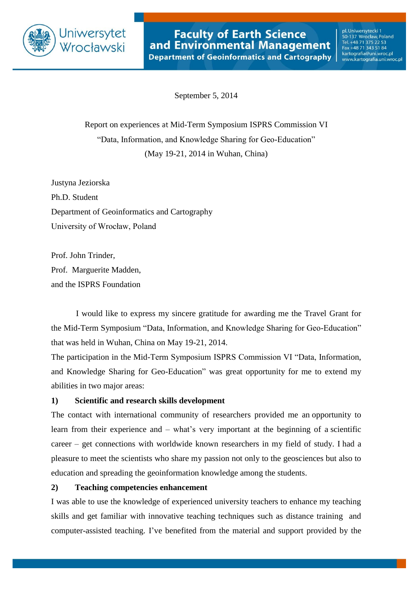

pl. Uniwersytecki 1 50-137 Wrocław, Poland<br>Tel. +48 71 375 22 53 Fax +48 71 343 51 84 kartografia@uni.wroc.pl www.kartografia.uni.wroc.pl

September 5, 2014

Report on experiences at Mid-Term Symposium ISPRS Commission VI "Data, Information, and Knowledge Sharing for Geo-Education" (May 19-21, 2014 in Wuhan, China)

Justyna Jeziorska Ph.D. Student Department of Geoinformatics and Cartography University of Wrocław, Poland

Prof. John Trinder, Prof. Marguerite Madden, and the ISPRS Foundation

I would like to express my sincere gratitude for awarding me the Travel Grant for the Mid-Term Symposium "Data, Information, and Knowledge Sharing for Geo-Education" that was held in Wuhan, China on May 19-21, 2014.

The participation in the Mid-Term Symposium ISPRS Commission VI "Data, Information, and Knowledge Sharing for Geo-Education" was great opportunity for me to extend my abilities in two major areas:

## **1) Scientific and research skills development**

The contact with international community of researchers provided me an opportunity to learn from their experience and – what's very important at the beginning of a scientific career – get connections with worldwide known researchers in my field of study. I had a pleasure to meet the scientists who share my passion not only to the geosciences but also to education and spreading the geoinformation knowledge among the students.

## **2) Teaching competencies enhancement**

I was able to use the knowledge of experienced university teachers to enhance my teaching skills and get familiar with innovative teaching techniques such as distance training and computer-assisted teaching. I've benefited from the material and support provided by the